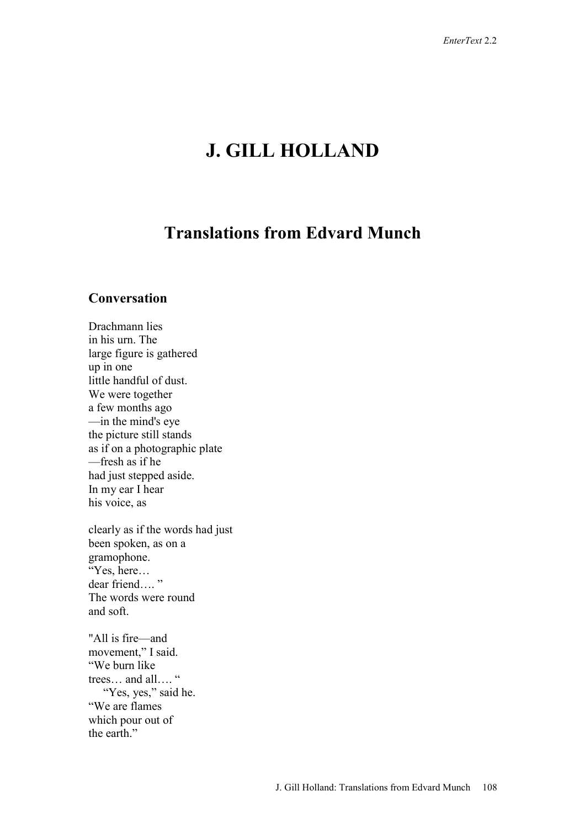# **J. GILL HOLLAND**

## **Translations from Edvard Munch**

#### **Conversation**

Drachmann lies in his urn. The large figure is gathered up in one little handful of dust. We were together a few months ago —in the mind's eye the picture still stands as if on a photographic plate —fresh as if he had just stepped aside. In my ear I hear his voice, as

clearly as if the words had just been spoken, as on a gramophone. "Yes, here… dear friend...." The words were round and soft.

"All is fire—and movement," I said. "We burn like trees... and all...." "Yes, yes," said he. "We are flames which pour out of the earth."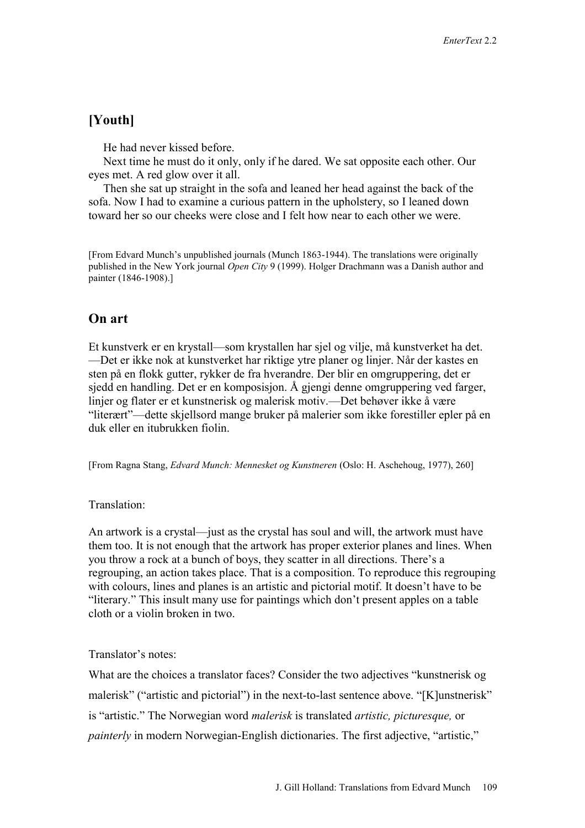### **[Youth]**

He had never kissed before.

 Next time he must do it only, only if he dared. We sat opposite each other. Our eyes met. A red glow over it all.

 Then she sat up straight in the sofa and leaned her head against the back of the sofa. Now I had to examine a curious pattern in the upholstery, so I leaned down toward her so our cheeks were close and I felt how near to each other we were.

[From Edvard Munch's unpublished journals (Munch 1863-1944). The translations were originally published in the New York journal *Open City* 9 (1999). Holger Drachmann was a Danish author and painter (1846-1908).]

#### **On art**

Et kunstverk er en krystall—som krystallen har sjel og vilje, må kunstverket ha det. —Det er ikke nok at kunstverket har riktige ytre planer og linjer. Når der kastes en sten på en flokk gutter, rykker de fra hverandre. Der blir en omgruppering, det er sjedd en handling. Det er en komposisjon. Å gjengi denne omgruppering ved farger, linjer og flater er et kunstnerisk og malerisk motiv.—Det behøver ikke å være "literært"—dette skjellsord mange bruker på malerier som ikke forestiller epler på en duk eller en itubrukken fiolin.

[From Ragna Stang, *Edvard Munch: Mennesket og Kunstneren* (Oslo: H. Aschehoug, 1977), 260]

#### Translation:

An artwork is a crystal—just as the crystal has soul and will, the artwork must have them too. It is not enough that the artwork has proper exterior planes and lines. When you throw a rock at a bunch of boys, they scatter in all directions. There's a regrouping, an action takes place. That is a composition. To reproduce this regrouping with colours, lines and planes is an artistic and pictorial motif. It doesn't have to be "literary." This insult many use for paintings which don't present apples on a table cloth or a violin broken in two.

Translator's notes:

What are the choices a translator faces? Consider the two adjectives "kunstnerisk og malerisk" ("artistic and pictorial") in the next-to-last sentence above. "[K]unstnerisk" is "artistic." The Norwegian word *malerisk* is translated *artistic, picturesque,* or *painterly* in modern Norwegian-English dictionaries. The first adjective, "artistic,"